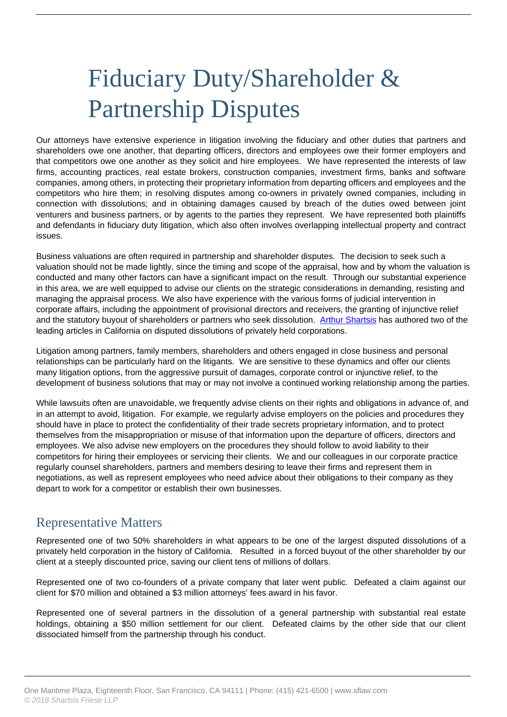# Fiduciary Duty/Shareholder & Partnership Disputes

Our attorneys have extensive experience in litigation involving the fiduciary and other duties that partners and shareholders owe one another, that departing officers, directors and employees owe their former employers and that competitors owe one another as they solicit and hire employees. We have represented the interests of law firms, accounting practices, real estate brokers, construction companies, investment firms, banks and software companies, among others, in protecting their proprietary information from departing officers and employees and the competitors who hire them; in resolving disputes among co-owners in privately owned companies, including in connection with dissolutions; and in obtaining damages caused by breach of the duties owed between joint venturers and business partners, or by agents to the parties they represent. We have represented both plaintiffs and defendants in fiduciary duty litigation, which also often involves overlapping intellectual property and contract issues.

Business valuations are often required in partnership and shareholder disputes. The decision to seek such a valuation should not be made lightly, since the timing and scope of the appraisal, how and by whom the valuation is conducted and many other factors can have a significant impact on the result. Through our substantial experience in this area, we are well equipped to advise our clients on the strategic considerations in demanding, resisting and managing the appraisal process. We also have experience with the various forms of judicial intervention in corporate affairs, including the appointment of provisional directors and receivers, the granting of injunctive relief and the statutory buyout of shareholders or partners who seek dissolution. [Arthur Shartsis](https://www.sflaw.com/attorney/arthur-j-shartsis/) has authored two of the leading articles in California on disputed dissolutions of privately held corporations.

Litigation among partners, family members, shareholders and others engaged in close business and personal relationships can be particularly hard on the litigants. We are sensitive to these dynamics and offer our clients many litigation options, from the aggressive pursuit of damages, corporate control or injunctive relief, to the development of business solutions that may or may not involve a continued working relationship among the parties.

While lawsuits often are unavoidable, we frequently advise clients on their rights and obligations in advance of, and in an attempt to avoid, litigation. For example, we regularly advise employers on the policies and procedures they should have in place to protect the confidentiality of their trade secrets proprietary information, and to protect themselves from the misappropriation or misuse of that information upon the departure of officers, directors and employees. We also advise new employers on the procedures they should follow to avoid liability to their competitors for hiring their employees or servicing their clients. We and our colleagues in our corporate practice regularly counsel shareholders, partners and members desiring to leave their firms and represent them in negotiations, as well as represent employees who need advice about their obligations to their company as they depart to work for a competitor or establish their own businesses.

# Representative Matters

Represented one of two 50% shareholders in what appears to be one of the largest disputed dissolutions of a privately held corporation in the history of California. Resulted in a forced buyout of the other shareholder by our client at a steeply discounted price, saving our client tens of millions of dollars.

Represented one of two co-founders of a private company that later went public. Defeated a claim against our client for \$70 million and obtained a \$3 million attorneys' fees award in his favor.

Represented one of several partners in the dissolution of a general partnership with substantial real estate holdings, obtaining a \$50 million settlement for our client. Defeated claims by the other side that our client dissociated himself from the partnership through his conduct.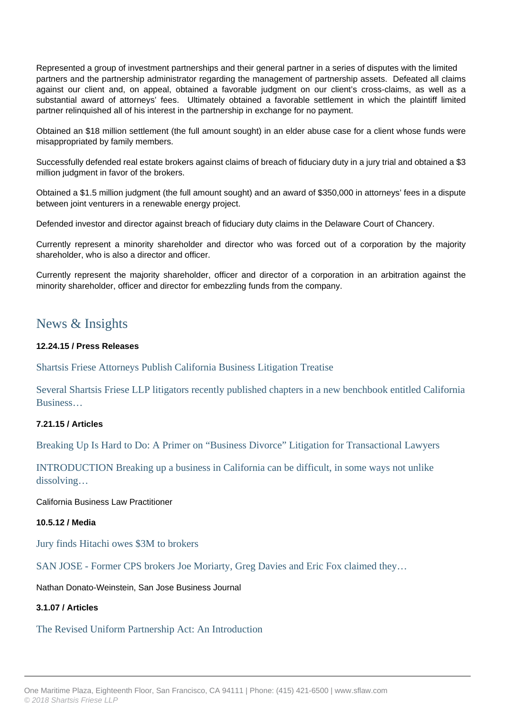Represented a group of investment partnerships and their general partner in a series of disputes with the limited partners and the partnership administrator regarding the management of partnership assets. Defeated all claims against our client and, on appeal, obtained a favorable judgment on our client's cross-claims, as well as a substantial award of attorneys' fees. Ultimately obtained a favorable settlement in which the plaintiff limited partner relinquished all of his interest in the partnership in exchange for no payment.

Obtained an \$18 million settlement (the full amount sought) in an elder abuse case for a client whose funds were misappropriated by family members.

Successfully defended real estate brokers against claims of breach of fiduciary duty in a jury trial and obtained a \$3 million judgment in favor of the brokers.

Obtained a \$1.5 million judgment (the full amount sought) and an award of \$350,000 in attorneys' fees in a dispute between joint venturers in a renewable energy project.

Defended investor and director against breach of fiduciary duty claims in the Delaware Court of Chancery.

Currently represent a minority shareholder and director who was forced out of a corporation by the majority shareholder, who is also a director and officer.

Currently represent the majority shareholder, officer and director of a corporation in an arbitration against the minority shareholder, officer and director for embezzling funds from the company.

# News & Insights

#### **12.24.15 / Press Releases**

Shartsis Friese Attorneys Publish California Business Litigation Treatise

Several Shartsis Friese LLP litigators recently published chapters in a new benchbook entitled California Business…

## **7.21.15 / Articles**

Breaking Up Is Hard to Do: A Primer on "Business Divorce" Litigation for Transactional Lawyers

INTRODUCTION Breaking up a business in California can be difficult, in some ways not unlike dissolving…

California Business Law Practitioner

#### **10.5.12 / Media**

Jury finds Hitachi owes \$3M to brokers

SAN JOSE - Former CPS brokers Joe Moriarty, Greg Davies and Eric Fox claimed they…

Nathan Donato-Weinstein, San Jose Business Journal

#### **3.1.07 / Articles**

#### The Revised Uniform Partnership Act: An Introduction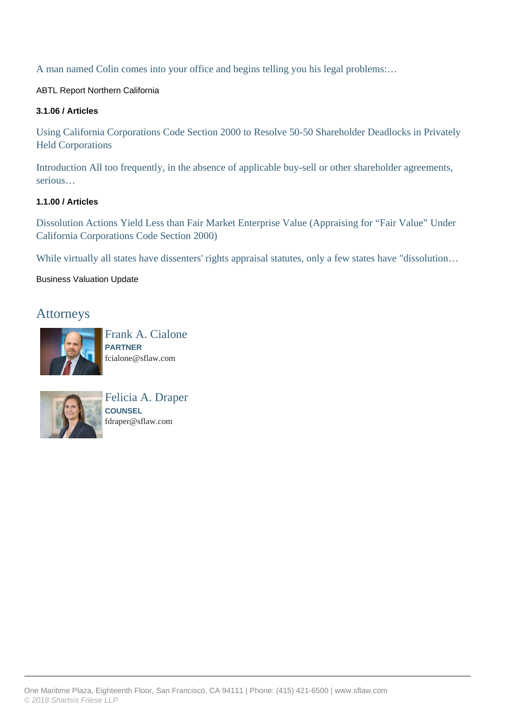A man named Colin comes into your office and begins telling you his legal problems:…

ABTL Report Northern California

### **3.1.06 / Articles**

Using California Corporations Code Section 2000 to Resolve 50-50 Shareholder Deadlocks in Privately Held Corporations

Introduction All too frequently, in the absence of applicable buy-sell or other shareholder agreements, serious…

## **1.1.00 / Articles**

Dissolution Actions Yield Less than Fair Market Enterprise Value (Appraising for "Fair Value" Under California Corporations Code Section 2000)

While virtually all states have dissenters' rights appraisal statutes, only a few states have "dissolution...

## Business Valuation Update

# Attorneys



Frank A. Cialone **PARTNER** fcialone@sflaw.com



Felicia A. Draper **COUNSEL** fdraper@sflaw.com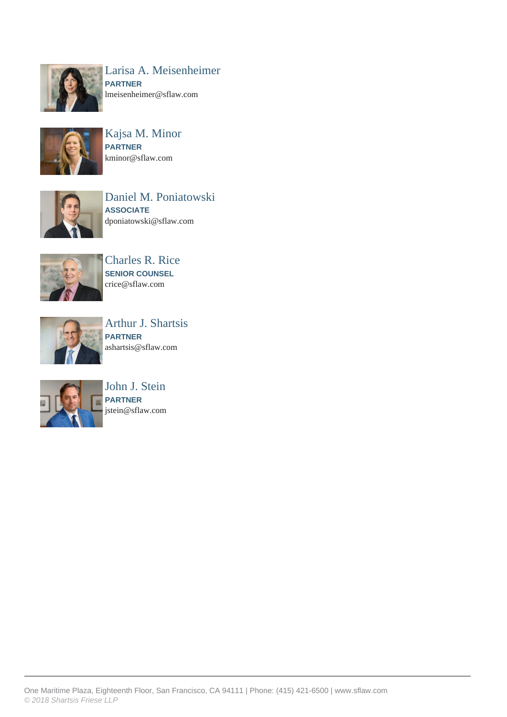

Larisa A. Meisenheimer **PARTNER** lmeisenheimer@sflaw.com



Kajsa M. Minor **PARTNER** kminor@sflaw.com



Daniel M. Poniatowski **ASSOCIATE** dponiatowski@sflaw.com



Charles R. Rice **SENIOR COUNSEL** crice@sflaw.com



Arthur J. Shartsis **PARTNER** ashartsis@sflaw.com



John J. Stein **PARTNER** jstein@sflaw.com